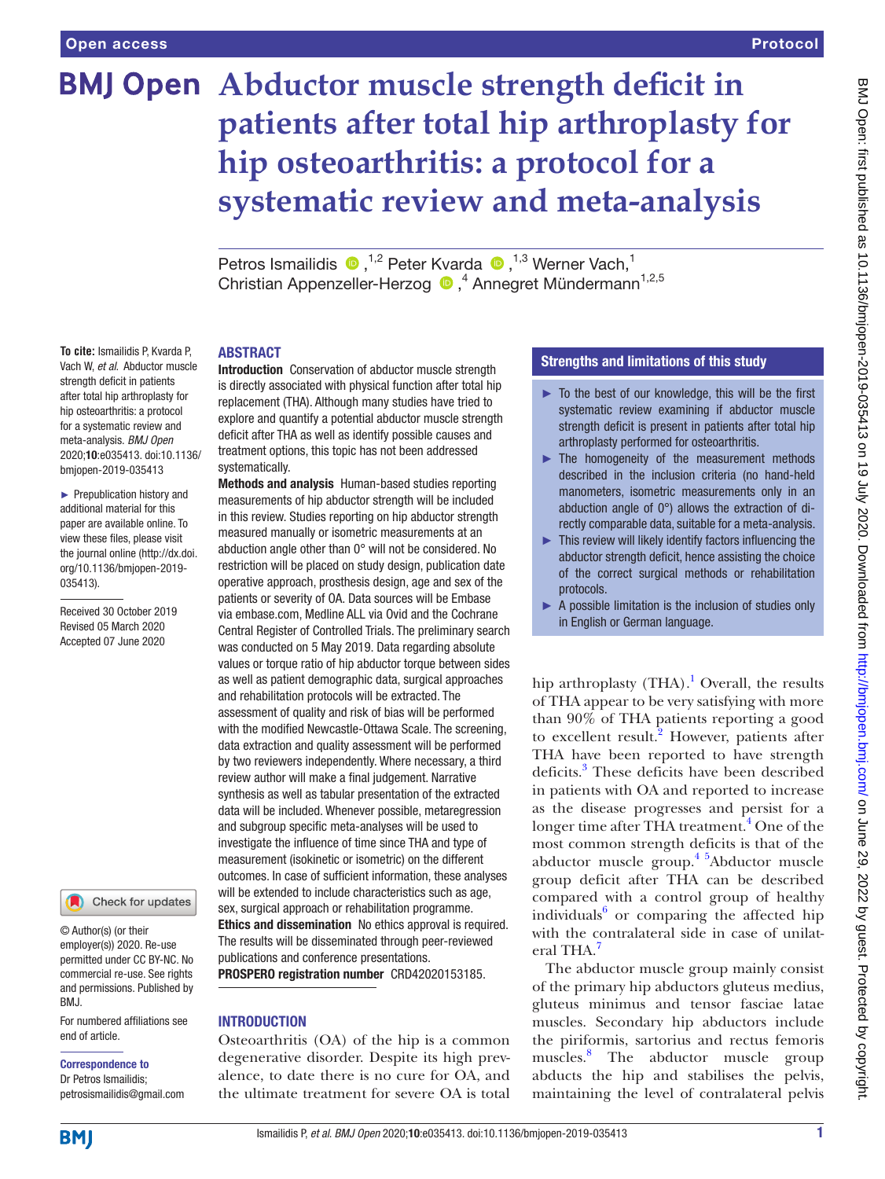# **BMJ Open** Abductor muscle strength deficit in **patients after total hip arthroplasty for hip osteoarthritis: a protocol for a systematic review and meta-analysis**

PetrosIsmailidis  $\bullet$ ,<sup>1,2</sup> Peter Kvarda  $\bullet$ ,<sup>1,3</sup> Werner Vach,<sup>1</sup> Christian Appenzeller-Herzog <sup>D</sup>,<sup>4</sup> Annegret Mündermann<sup>1,2,5</sup>

## ABSTRACT

**To cite:** Ismailidis P, Kvarda P, Vach W, *et al*. Abductor muscle strength deficit in patients after total hip arthroplasty for hip osteoarthritis: a protocol for a systematic review and meta-analysis. *BMJ Open* 2020;10:e035413. doi:10.1136/ bmjopen-2019-035413

► Prepublication history and additional material for this paper are available online. To view these files, please visit the journal online (http://dx.doi. org/10.1136/bmjopen-2019- 035413).

Received 30 October 2019 Revised 05 March 2020 Accepted 07 June 2020



© Author(s) (or their employer(s)) 2020. Re-use permitted under CC BY-NC. No commercial re-use. See rights and permissions. Published by BMJ.

For numbered affiliations see end of article.

# Correspondence to

Dr Petros Ismailidis; petrosismailidis@gmail.com Introduction Conservation of abductor muscle strength is directly associated with physical function after total hip replacement (THA). Although many studies have tried to explore and quantify a potential abductor muscle strength deficit after THA as well as identify possible causes and treatment options, this topic has not been addressed systematically.

Methods and analysis Human-based studies reporting measurements of hip abductor strength will be included in this review. Studies reporting on hip abductor strength measured manually or isometric measurements at an abduction angle other than 0° will not be considered. No restriction will be placed on study design, publication date operative approach, prosthesis design, age and sex of the patients or severity of OA. Data sources will be Embase via embase.com, Medline ALL via Ovid and the Cochrane Central Register of Controlled Trials. The preliminary search was conducted on 5 May 2019. Data regarding absolute values or torque ratio of hip abductor torque between sides as well as patient demographic data, surgical approaches and rehabilitation protocols will be extracted. The assessment of quality and risk of bias will be performed with the modified Newcastle-Ottawa Scale. The screening, data extraction and quality assessment will be performed by two reviewers independently. Where necessary, a third review author will make a final judgement. Narrative synthesis as well as tabular presentation of the extracted data will be included. Whenever possible, metaregression and subgroup specific meta-analyses will be used to investigate the influence of time since THA and type of measurement (isokinetic or isometric) on the different outcomes. In case of sufficient information, these analyses will be extended to include characteristics such as age. sex, surgical approach or rehabilitation programme. Ethics and dissemination No ethics approval is required. The results will be disseminated through peer-reviewed publications and conference presentations. PROSPERO registration number CRD42020153185.

## INTRODUCTION

Osteoarthritis (OA) of the hip is a common degenerative disorder. Despite its high prevalence, to date there is no cure for OA, and the ultimate treatment for severe OA is total

# Strengths and limitations of this study

- ► To the best of our knowledge, this will be the first systematic review examining if abductor muscle strength deficit is present in patients after total hip arthroplasty performed for osteoarthritis.
- ► The homogeneity of the measurement methods described in the inclusion criteria (no hand-held manometers, isometric measurements only in an abduction angle of 0°) allows the extraction of directly comparable data, suitable for a meta-analysis.
- $\blacktriangleright$  This review will likely identify factors influencing the abductor strength deficit, hence assisting the choice of the correct surgical methods or rehabilitation protocols.
- ► A possible limitation is the inclusion of studies only in English or German language.

hip arthroplasty  $(THA)$ .<sup>[1](#page-4-0)</sup> Overall, the results of THA appear to be very satisfying with more than 90% of THA patients reporting a good to excellent result.<sup>[2](#page-4-1)</sup> However, patients after THA have been reported to have strength deficits.<sup>[3](#page-4-2)</sup> These deficits have been described in patients with OA and reported to increase as the disease progresses and persist for a longer time after THA treatment.<sup>[4](#page-4-3)</sup> One of the most common strength deficits is that of the abductor muscle group.[4 5A](#page-4-3)bductor muscle group deficit after THA can be described compared with a control group of healthy individuals<sup>[6](#page-4-4)</sup> or comparing the affected hip with the contralateral side in case of unilat-eral THA.<sup>[7](#page-4-5)</sup>

The abductor muscle group mainly consist of the primary hip abductors gluteus medius, gluteus minimus and tensor fasciae latae muscles. Secondary hip abductors include the piriformis, sartorius and rectus femoris muscles.[8](#page-4-6) The abductor muscle group abducts the hip and stabilises the pelvis, maintaining the level of contralateral pelvis

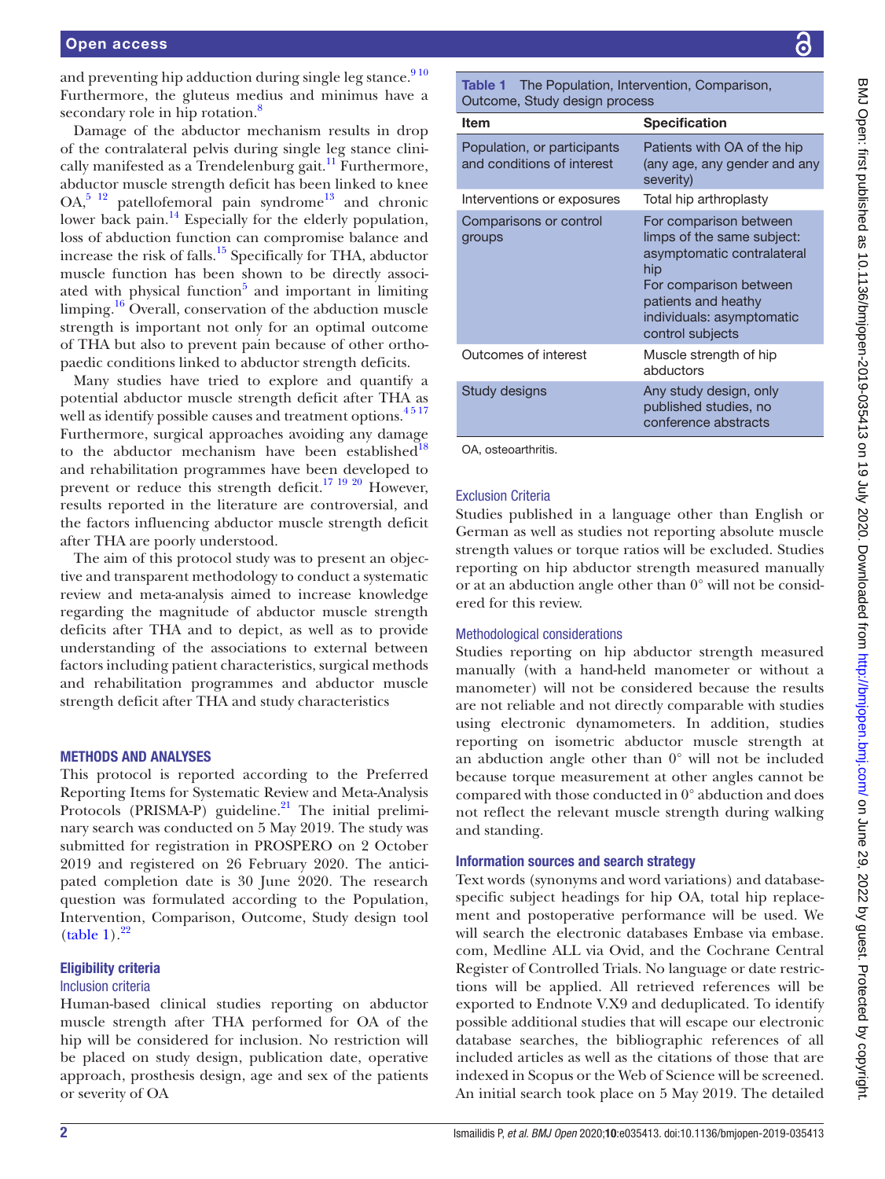and preventing hip adduction during single leg stance. $910$ Furthermore, the gluteus medius and minimus have a secondary role in hip rotation.<sup>[8](#page-4-6)</sup>

Damage of the abductor mechanism results in drop of the contralateral pelvis during single leg stance clinically manifested as a Trendelenburg gait.<sup>11</sup> Furthermore, abductor muscle strength deficit has been linked to knee  $OA<sub>2</sub>$ <sup>5</sup> 1<sup>2</sup> patellofemoral pain syndrome<sup>13</sup> and chronic lower back pain.<sup>14</sup> Especially for the elderly population, loss of abduction function can compromise balance and increase the risk of falls. $15$  Specifically for THA, abductor muscle function has been shown to be directly associated with physical function<sup>5</sup> and important in limiting limping.<sup>16</sup> Overall, conservation of the abduction muscle strength is important not only for an optimal outcome of THA but also to prevent pain because of other orthopaedic conditions linked to abductor strength deficits.

Many studies have tried to explore and quantify a potential abductor muscle strength deficit after THA as well as identify possible causes and treatment options. $4517$ Furthermore, surgical approaches avoiding any damage to the abductor mechanism have been established $^{18}$ and rehabilitation programmes have been developed to prevent or reduce this strength deficit.[17 19 20](#page-4-15) However, results reported in the literature are controversial, and the factors influencing abductor muscle strength deficit after THA are poorly understood.

The aim of this protocol study was to present an objective and transparent methodology to conduct a systematic review and meta-analysis aimed to increase knowledge regarding the magnitude of abductor muscle strength deficits after THA and to depict, as well as to provide understanding of the associations to external between factors including patient characteristics, surgical methods and rehabilitation programmes and abductor muscle strength deficit after THA and study characteristics

## METHODS AND ANALYSES

This protocol is reported according to the Preferred Reporting Items for Systematic Review and Meta-Analysis Protocols (PRISMA-P) guideline. $21$  The initial preliminary search was conducted on 5 May 2019. The study was submitted for registration in PROSPERO on 2 October 2019 and registered on 26 February 2020. The anticipated completion date is 30 June 2020. The research question was formulated according to the Population, Intervention, Comparison, Outcome, Study design tool  $(table 1).<sup>22</sup>$  $(table 1).<sup>22</sup>$  $(table 1).<sup>22</sup>$ 

## Eligibility criteria

## Inclusion criteria

Human-based clinical studies reporting on abductor muscle strength after THA performed for OA of the hip will be considered for inclusion. No restriction will be placed on study design, publication date, operative approach, prosthesis design, age and sex of the patients or severity of OA

<span id="page-1-0"></span>Table 1 The Population, Intervention, Comparison, Outcome, Study design process

| Item                                                      | <b>Specification</b>                                                                                                                                                                        |
|-----------------------------------------------------------|---------------------------------------------------------------------------------------------------------------------------------------------------------------------------------------------|
| Population, or participants<br>and conditions of interest | Patients with OA of the hip<br>(any age, any gender and any<br>severity)                                                                                                                    |
| Interventions or exposures                                | Total hip arthroplasty                                                                                                                                                                      |
| Comparisons or control<br>groups                          | For comparison between<br>limps of the same subject:<br>asymptomatic contralateral<br>hip<br>For comparison between<br>patients and heathy<br>individuals: asymptomatic<br>control subjects |
| Outcomes of interest                                      | Muscle strength of hip<br>abductors                                                                                                                                                         |
| Study designs                                             | Any study design, only<br>published studies, no<br>conference abstracts                                                                                                                     |
| OA, osteoarthritis.                                       |                                                                                                                                                                                             |

# Exclusion Criteria

Studies published in a language other than English or German as well as studies not reporting absolute muscle strength values or torque ratios will be excluded. Studies reporting on hip abductor strength measured manually or at an abduction angle other than 0° will not be considered for this review.

# Methodological considerations

Studies reporting on hip abductor strength measured manually (with a hand-held manometer or without a manometer) will not be considered because the results are not reliable and not directly comparable with studies using electronic dynamometers. In addition, studies reporting on isometric abductor muscle strength at an abduction angle other than 0° will not be included because torque measurement at other angles cannot be compared with those conducted in 0° abduction and does not reflect the relevant muscle strength during walking and standing.

# Information sources and search strategy

Text words (synonyms and word variations) and databasespecific subject headings for hip OA, total hip replacement and postoperative performance will be used. We will search the electronic databases Embase via embase. com, Medline ALL via Ovid, and the Cochrane Central Register of Controlled Trials. No language or date restrictions will be applied. All retrieved references will be exported to Endnote V.X9 and deduplicated. To identify possible additional studies that will escape our electronic database searches, the bibliographic references of all included articles as well as the citations of those that are indexed in Scopus or the Web of Science will be screened. An initial search took place on 5 May 2019. The detailed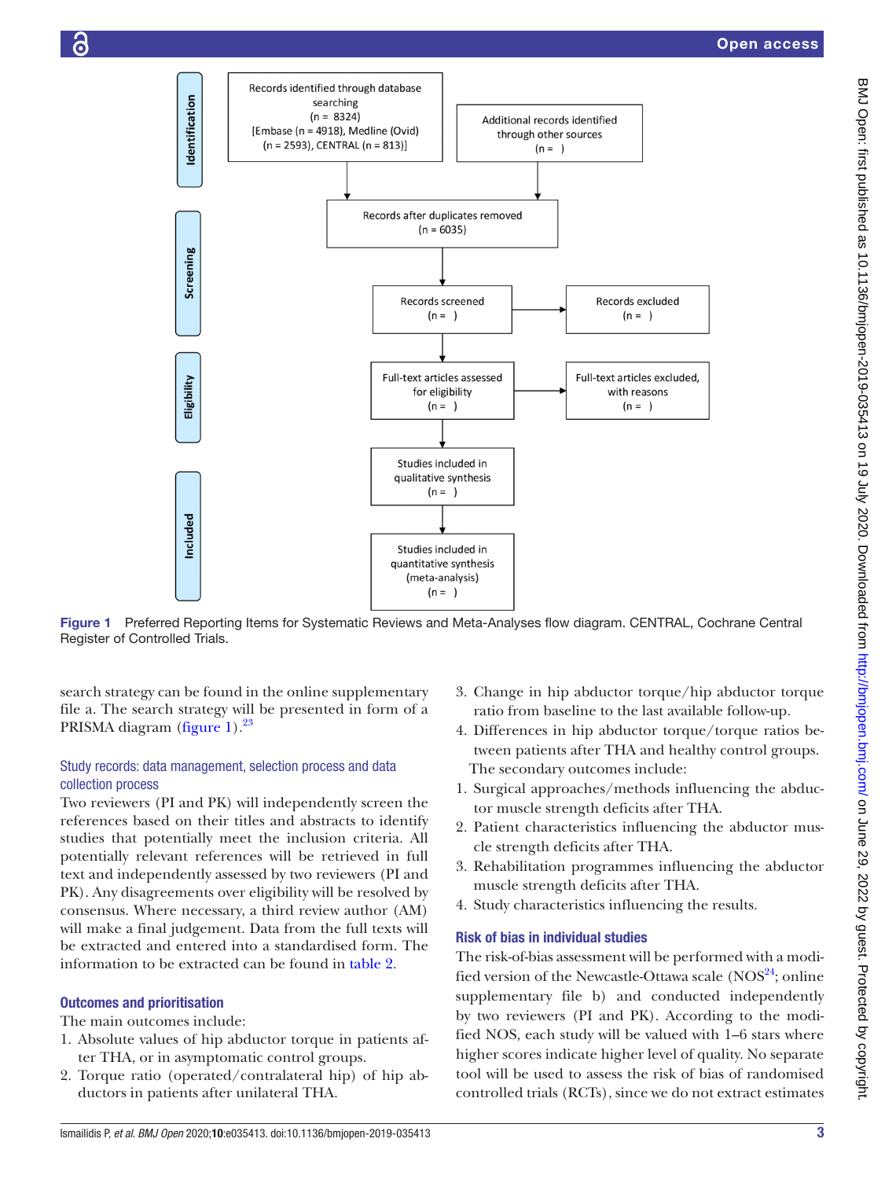

Figure 1 Preferred Reporting Items for Systematic Reviews and Meta-Analyses flow diagram. CENTRAL, Cochrane Central Register of Controlled Trials.

search strategy can be found in the [online supplementary](https://dx.doi.org/10.1136/bmjopen-2019-035413) [file a](https://dx.doi.org/10.1136/bmjopen-2019-035413). The search strategy will be presented in form of a PRISMA diagram ([figure](#page-2-0) 1).<sup>23</sup>

## Study records: data management, selection process and data collection process

Two reviewers (PI and PK) will independently screen the references based on their titles and abstracts to identify studies that potentially meet the inclusion criteria. All potentially relevant references will be retrieved in full text and independently assessed by two reviewers (PI and PK). Any disagreements over eligibility will be resolved by consensus. Where necessary, a third review author (AM) will make a final judgement. Data from the full texts will be extracted and entered into a standardised form. The information to be extracted can be found in [table](#page-3-0) 2.

# Outcomes and prioritisation

The main outcomes include:

- 1. Absolute values of hip abductor torque in patients after THA, or in asymptomatic control groups.
- 2. Torque ratio (operated/contralateral hip) of hip abductors in patients after unilateral THA.
- <span id="page-2-0"></span>3. Change in hip abductor torque/hip abductor torque ratio from baseline to the last available follow-up.
- 4. Differences in hip abductor torque/torque ratios between patients after THA and healthy control groups. The secondary outcomes include:
- 1. Surgical approaches/methods influencing the abductor muscle strength deficits after THA.
- 2. Patient characteristics influencing the abductor muscle strength deficits after THA.
- 3. Rehabilitation programmes influencing the abductor muscle strength deficits after THA.
- 4. Study characteristics influencing the results.

## Risk of bias in individual studies

The risk-of-bias assessment will be performed with a modified version of the Newcastle-Ottawa scale (NOS<sup>24</sup>; online [supplementary file b](https://dx.doi.org/10.1136/bmjopen-2019-035413)) and conducted independently by two reviewers (PI and PK). According to the modified NOS, each study will be valued with 1–6 stars where higher scores indicate higher level of quality. No separate tool will be used to assess the risk of bias of randomised controlled trials (RCTs), since we do not extract estimates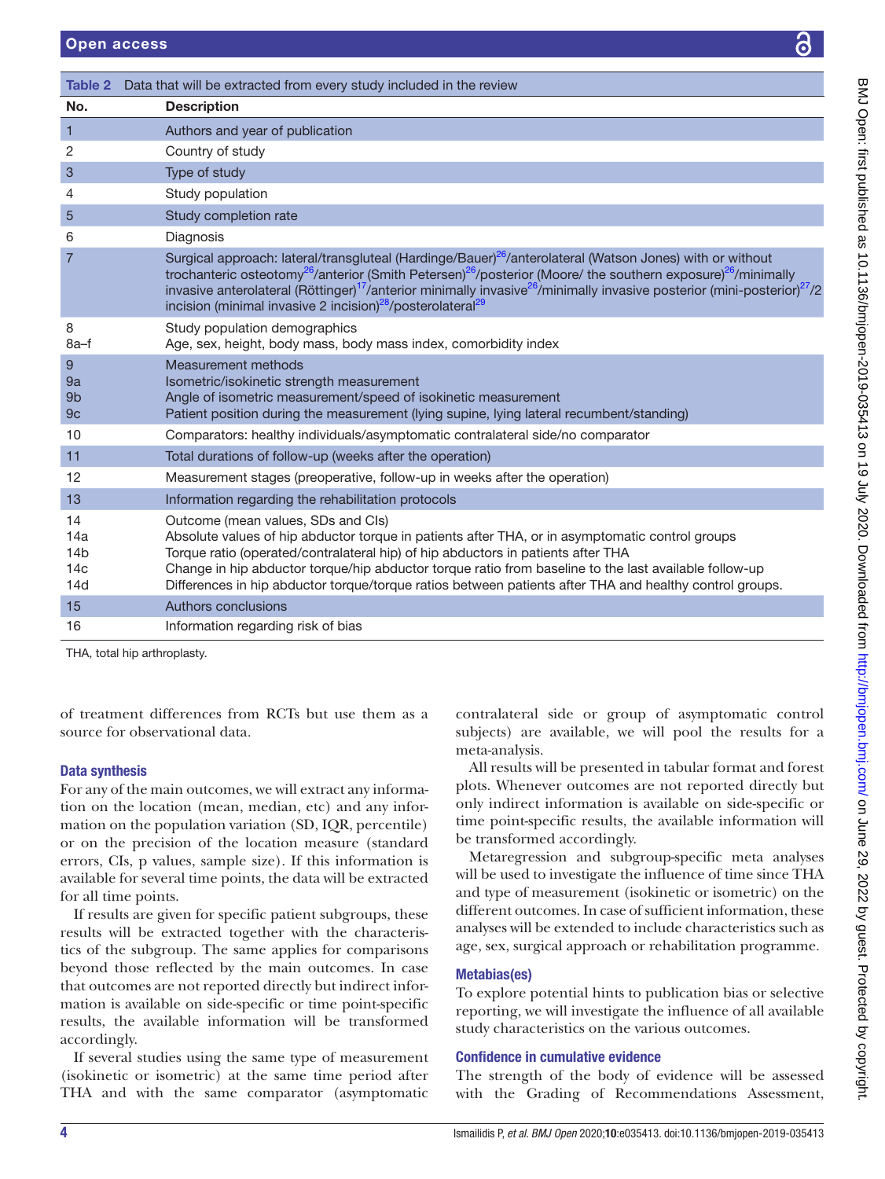<span id="page-3-0"></span>

| Table 2                                                | Data that will be extracted from every study included in the review                                                                                                                                                                                                                                                                                                                                                                                                                                         |  |
|--------------------------------------------------------|-------------------------------------------------------------------------------------------------------------------------------------------------------------------------------------------------------------------------------------------------------------------------------------------------------------------------------------------------------------------------------------------------------------------------------------------------------------------------------------------------------------|--|
| No.                                                    | <b>Description</b>                                                                                                                                                                                                                                                                                                                                                                                                                                                                                          |  |
| 1                                                      | Authors and year of publication                                                                                                                                                                                                                                                                                                                                                                                                                                                                             |  |
| 2                                                      | Country of study                                                                                                                                                                                                                                                                                                                                                                                                                                                                                            |  |
| 3                                                      | Type of study                                                                                                                                                                                                                                                                                                                                                                                                                                                                                               |  |
| 4                                                      | Study population                                                                                                                                                                                                                                                                                                                                                                                                                                                                                            |  |
| 5                                                      | Study completion rate                                                                                                                                                                                                                                                                                                                                                                                                                                                                                       |  |
| 6                                                      | Diagnosis                                                                                                                                                                                                                                                                                                                                                                                                                                                                                                   |  |
| $\overline{7}$                                         | Surgical approach: lateral/transgluteal (Hardinge/Bauer) <sup>26</sup> /anterolateral (Watson Jones) with or without<br>trochanteric osteotomy <sup>26</sup> /anterior (Smith Petersen) <sup>26</sup> /posterior (Moore/ the southern exposure) <sup>26</sup> /minimally<br>invasive anterolateral (Röttinger) <sup>17</sup> /anterior minimally invasive <sup>26</sup> /minimally invasive posterior (mini-posterior) <sup>27</sup> /2<br>incision (minimal invasive 2 incision) $28$ /posterolateral $29$ |  |
| 8<br>8a-f                                              | Study population demographics<br>Age, sex, height, body mass, body mass index, comorbidity index                                                                                                                                                                                                                                                                                                                                                                                                            |  |
| 9<br>9a<br>9b<br>9 <sub>c</sub>                        | Measurement methods<br>Isometric/isokinetic strength measurement<br>Angle of isometric measurement/speed of isokinetic measurement<br>Patient position during the measurement (lying supine, lying lateral recumbent/standing)                                                                                                                                                                                                                                                                              |  |
| 10                                                     | Comparators: healthy individuals/asymptomatic contralateral side/no comparator                                                                                                                                                                                                                                                                                                                                                                                                                              |  |
| 11                                                     | Total durations of follow-up (weeks after the operation)                                                                                                                                                                                                                                                                                                                                                                                                                                                    |  |
| 12                                                     | Measurement stages (preoperative, follow-up in weeks after the operation)                                                                                                                                                                                                                                                                                                                                                                                                                                   |  |
| 13                                                     | Information regarding the rehabilitation protocols                                                                                                                                                                                                                                                                                                                                                                                                                                                          |  |
| 14<br>14a<br>14 <sub>b</sub><br>14 <sub>c</sub><br>14d | Outcome (mean values, SDs and CIs)<br>Absolute values of hip abductor torque in patients after THA, or in asymptomatic control groups<br>Torque ratio (operated/contralateral hip) of hip abductors in patients after THA<br>Change in hip abductor torque/hip abductor torque ratio from baseline to the last available follow-up<br>Differences in hip abductor torque/torque ratios between patients after THA and healthy control groups.                                                               |  |
| 15                                                     | Authors conclusions                                                                                                                                                                                                                                                                                                                                                                                                                                                                                         |  |
| 16                                                     | Information regarding risk of bias                                                                                                                                                                                                                                                                                                                                                                                                                                                                          |  |
|                                                        |                                                                                                                                                                                                                                                                                                                                                                                                                                                                                                             |  |

THA, total hip arthroplasty.

of treatment differences from RCTs but use them as a source for observational data.

# Data synthesis

For any of the main outcomes, we will extract any information on the location (mean, median, etc) and any information on the population variation (SD, IQR, percentile) or on the precision of the location measure (standard errors, CIs, p values, sample size). If this information is available for several time points, the data will be extracted for all time points.

If results are given for specific patient subgroups, these results will be extracted together with the characteristics of the subgroup. The same applies for comparisons beyond those reflected by the main outcomes. In case that outcomes are not reported directly but indirect information is available on side-specific or time point-specific results, the available information will be transformed accordingly.

If several studies using the same type of measurement (isokinetic or isometric) at the same time period after THA and with the same comparator (asymptomatic

contralateral side or group of asymptomatic control subjects) are available, we will pool the results for a meta-analysis.

All results will be presented in tabular format and forest plots. Whenever outcomes are not reported directly but only indirect information is available on side-specific or time point-specific results, the available information will be transformed accordingly.

Metaregression and subgroup-specific meta analyses will be used to investigate the influence of time since THA and type of measurement (isokinetic or isometric) on the different outcomes. In case of sufficient information, these analyses will be extended to include characteristics such as age, sex, surgical approach or rehabilitation programme.

## Metabias(es)

To explore potential hints to publication bias or selective reporting, we will investigate the influence of all available study characteristics on the various outcomes.

## Confidence in cumulative evidence

The strength of the body of evidence will be assessed with the Grading of Recommendations Assessment,